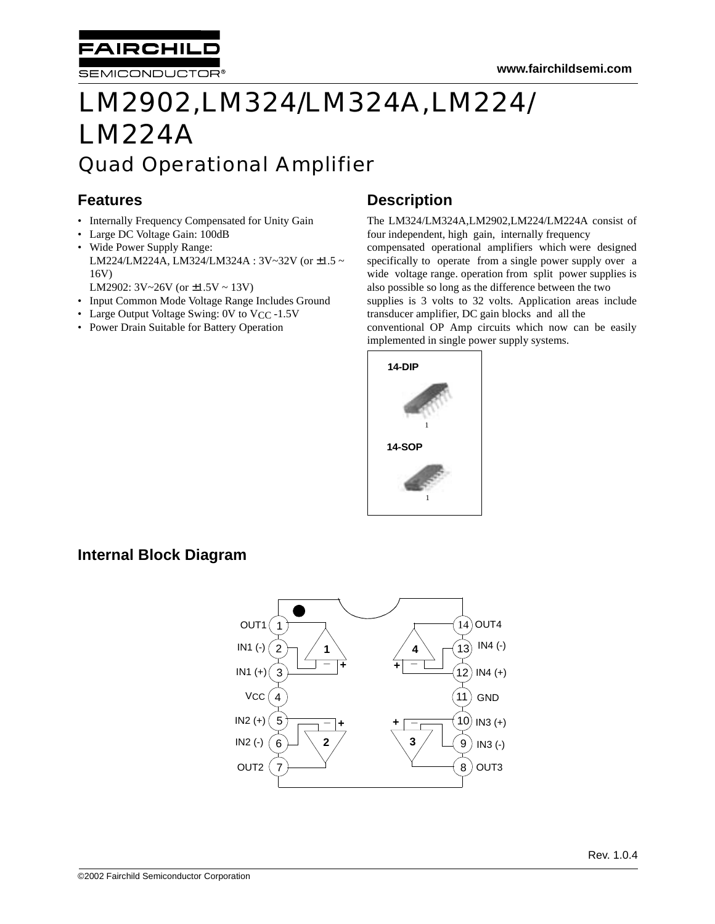

SEMICONDUCTOR®

# LM2902,LM324/LM324A,LM224/ LM224A Quad Operational Amplifier

# **Features**

- Internally Frequency Compensated for Unity Gain
- Large DC Voltage Gain: 100dB • Wide Power Supply Range: LM224/LM224A, LM324/LM324A : 3V~32V (or ±1.5 ~ 16V)
	- LM2902: 3V~26V (or ±1.5V ~ 13V)
- Input Common Mode Voltage Range Includes Ground
- Large Output Voltage Swing: 0V to VCC -1.5V
- Power Drain Suitable for Battery Operation

# **Description**

The LM324/LM324A,LM2902,LM224/LM224A consist of four independent, high gain, internally frequency compensated operational amplifiers which were designed specifically to operate from a single power supply over a wide voltage range. operation from split power supplies is also possible so long as the difference between the two supplies is 3 volts to 32 volts. Application areas include transducer amplifier, DC gain blocks and all the conventional OP Amp circuits which now can be easily implemented in single power supply systems.



# **Internal Block Diagram**

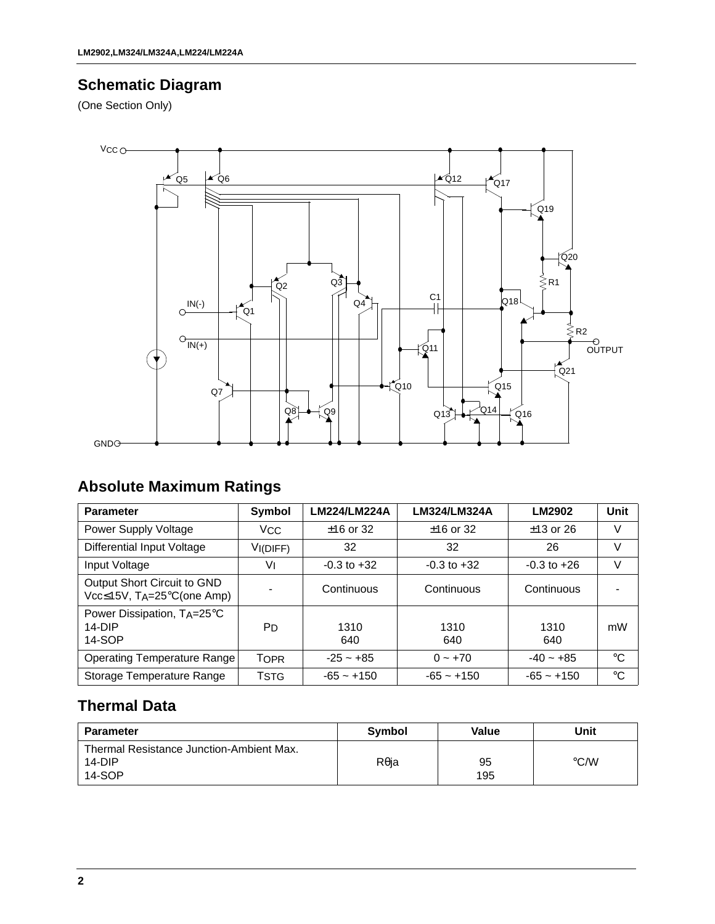# **Schematic Diagram**

(One Section Only)



# **Absolute Maximum Ratings**

| <b>Parameter</b>                                         | Symbol         | LM224/LM224A    | LM324/LM324A    | LM2902          | Unit        |
|----------------------------------------------------------|----------------|-----------------|-----------------|-----------------|-------------|
| Power Supply Voltage                                     | <b>VCC</b>     | $±16$ or 32     | $±16$ or 32     | $±13$ or 26     | V           |
| <b>Differential Input Voltage</b>                        | VI(DIFF)       | 32              | 32              | 26              | V           |
| Input Voltage                                            | V١             | $-0.3$ to $+32$ | $-0.3$ to $+32$ | $-0.3$ to $+26$ | V           |
| Output Short Circuit to GND<br>Vcc≤15V, TA=25°C(one Amp) |                | Continuous      | Continuous      | Continuous      |             |
| Power Dissipation, TA=25°C<br>$14-DIP$<br>14-SOP         | P <sub>D</sub> | 1310<br>640     | 1310<br>640     | 1310<br>640     | mW          |
| Operating Temperature Range                              | <b>TOPR</b>    | $-25 - +85$     | $0 - +70$       | $-40 - +85$     | $^{\circ}C$ |
| Storage Temperature Range                                | Tstg           | $-65 - +150$    | $-65 - +150$    | $-65 - +150$    | $^{\circ}C$ |

# **Thermal Data**

| <b>Parameter</b>                                             | Symbol       | Value     | Unit          |
|--------------------------------------------------------------|--------------|-----------|---------------|
| Thermal Resistance Junction-Ambient Max.<br>14-DIP<br>14-SOP | $R\theta$ ja | 95<br>195 | $\degree$ C/W |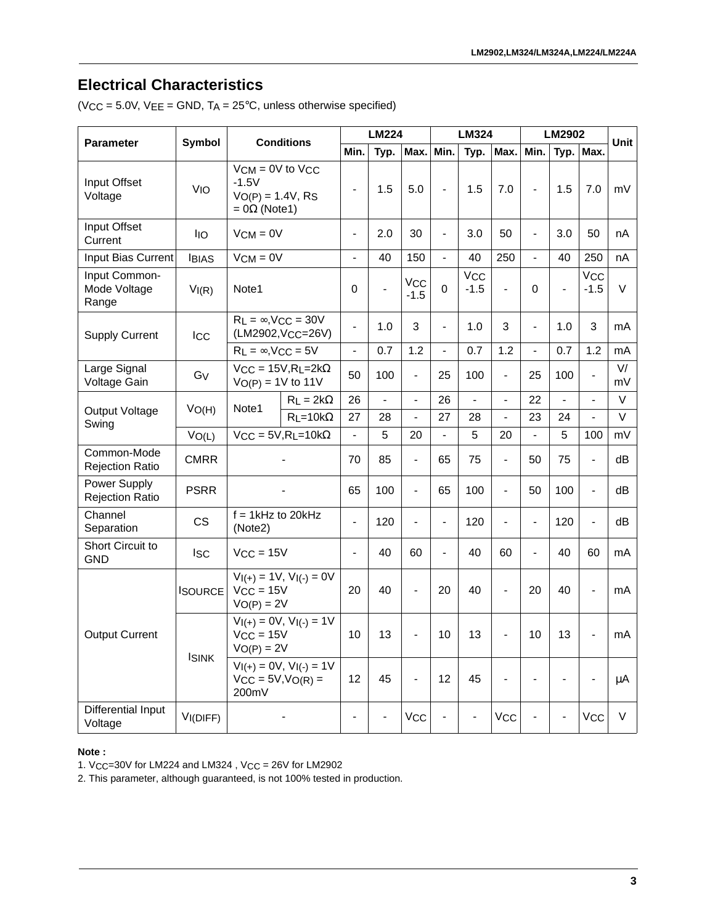# **Electrical Characteristics**

| <b>Parameter</b>                       | Symbol                |                                                                                | <b>LM224</b>                                          |                          |                |                                 | <b>LM324</b>                 |                | LM2902                   | Unit                     |     |                       |          |
|----------------------------------------|-----------------------|--------------------------------------------------------------------------------|-------------------------------------------------------|--------------------------|----------------|---------------------------------|------------------------------|----------------|--------------------------|--------------------------|-----|-----------------------|----------|
|                                        |                       | <b>Conditions</b>                                                              |                                                       | Min.                     | Typ.           | Max.                            | Min.                         | Typ.           | Max.                     | Min.                     |     | Typ. Max.             |          |
| Input Offset<br>Voltage                | <b>V<sub>IO</sub></b> | $VCM = 0V$ to $VCC$<br>$-1.5V$<br>$VO(P) = 1.4V, RS$<br>$=$ 0 $\Omega$ (Note1) |                                                       |                          | 1.5            | 5.0                             |                              | 1.5            | 7.0                      | $\overline{\phantom{0}}$ | 1.5 | 7.0                   | mV       |
| Input Offset<br>Current                | <b>IIO</b>            | $VCM = 0V$                                                                     |                                                       | $\frac{1}{2}$            | 2.0            | 30                              | $\overline{\phantom{a}}$     | 3.0            | 50                       | $\overline{\phantom{0}}$ | 3.0 | 50                    | nA       |
| Input Bias Current                     | <b>IBIAS</b>          | $VCM = 0V$                                                                     |                                                       | $\blacksquare$           | 40             | 150                             | $\blacksquare$               | 40             | 250                      | $\overline{a}$           | 40  | 250                   | nA       |
| Input Common-<br>Mode Voltage<br>Range | VI(R)                 | Note1                                                                          |                                                       |                          |                | <b>V<sub>CC</sub></b><br>$-1.5$ | 0                            | Vcc<br>$-1.5$  | $\blacksquare$           | 0                        |     | Vcc<br>$-1.5$         | V        |
| <b>Supply Current</b>                  | <b>ICC</b>            | $R_L = \infty$ , V <sub>CC</sub> = 30V                                         | (LM2902, VCC=26V)                                     | $\overline{\phantom{0}}$ | 1.0            | 3                               | $\overline{a}$               | 1.0            | 3                        | $\overline{\phantom{a}}$ | 1.0 | 3                     | mA       |
|                                        |                       | $R_L = \infty$ , VCC = 5V                                                      |                                                       | $\blacksquare$           | 0.7            | 1.2                             | $\frac{1}{2}$                | 0.7            | 1.2                      | $\overline{a}$           | 0.7 | 1.2                   | mA       |
| Large Signal<br>Voltage Gain           | Gv                    | $VO(P) = 1V$ to 11V                                                            | $VCC = 15V, R_L = 2k\Omega$                           | 50                       | 100            | $\blacksquare$                  | 25                           | 100            | $\overline{\phantom{a}}$ | 25                       | 100 |                       | V/<br>mV |
|                                        | VO(H)                 | Note1                                                                          | $RL = 2k\Omega$                                       | 26                       | $\overline{a}$ | $\overline{a}$                  | 26                           | $\overline{a}$ |                          | 22                       |     |                       | V        |
| Output Voltage<br>Swing                |                       |                                                                                | $R$ L=10k $\Omega$                                    | 27                       | 28             | $\bar{\phantom{a}}$             | 27                           | 28             | $\overline{\phantom{a}}$ | 23                       | 24  |                       | $\vee$   |
|                                        | VO(L)                 | $VCC = 5V, R_L = 10k\Omega$                                                    |                                                       | $\blacksquare$           | 5              | 20                              | $\frac{1}{2}$                | 5              | 20                       | $\overline{\phantom{0}}$ | 5   | 100                   | mV       |
| Common-Mode<br><b>Rejection Ratio</b>  | <b>CMRR</b>           |                                                                                |                                                       | 70                       | 85             | $\blacksquare$                  | 65                           | 75             | $\blacksquare$           | 50                       | 75  | $\overline{a}$        | dB       |
| Power Supply<br><b>Rejection Ratio</b> | PSRR                  |                                                                                |                                                       | 65                       | 100            | $\blacksquare$                  | 65                           | 100            | $\blacksquare$           | 50                       | 100 | $\overline{a}$        | dВ       |
| Channel<br>Separation                  | CS                    | $f = 1$ kHz to 20kHz<br>(Note2)                                                |                                                       | $\frac{1}{2}$            | 120            | $\overline{a}$                  | $\qquad \qquad \blacksquare$ | 120            | $\overline{a}$           | $\blacksquare$           | 120 | $\frac{1}{2}$         | dB       |
| <b>Short Circuit to</b><br><b>GND</b>  | <b>ISC</b>            | $V_{CC} = 15V$                                                                 |                                                       | $\blacksquare$           | 40             | 60                              | $\blacksquare$               | 40             | 60                       | $\blacksquare$           | 40  | 60                    | mA       |
|                                        | <b>ISOURCE</b>        | $V_{CC} = 15V$<br>$V_O(P) = 2V$                                                | $VI(+) = 1V, VI(-) = 0V$                              | 20                       | 40             | $\overline{a}$                  | 20                           | 40             | $\overline{a}$           | 20                       | 40  |                       | mA       |
| <b>Output Current</b>                  |                       | $V_{I(+)} = 0V$ , $V_{I(-)} = 1V$<br>$VCC = 15V$<br>$VO(P) = 2V$               |                                                       | 10                       | 13             | $\blacksquare$                  | 10                           | 13             | $\overline{a}$           | 10                       | 13  | $\overline{a}$        | mA       |
|                                        | <b>ISINK</b>          | 200mV                                                                          | $VI(+) = 0V, VI(-) = 1V$<br>$V_{CC} = 5V, V_{O(R)} =$ |                          | 45             |                                 | 12                           | 45             |                          |                          |     |                       | $\mu$ A  |
| Differential Input<br>Voltage          | VI(DIFF)              |                                                                                |                                                       |                          |                | <b>V<sub>CC</sub></b>           |                              |                | <b>V<sub>CC</sub></b>    |                          |     | <b>V<sub>CC</sub></b> | V        |

#### **Note :**

1. VCC=30V for LM224 and LM324 , VCC = 26V for LM2902

2. This parameter, although guaranteed, is not 100% tested in production.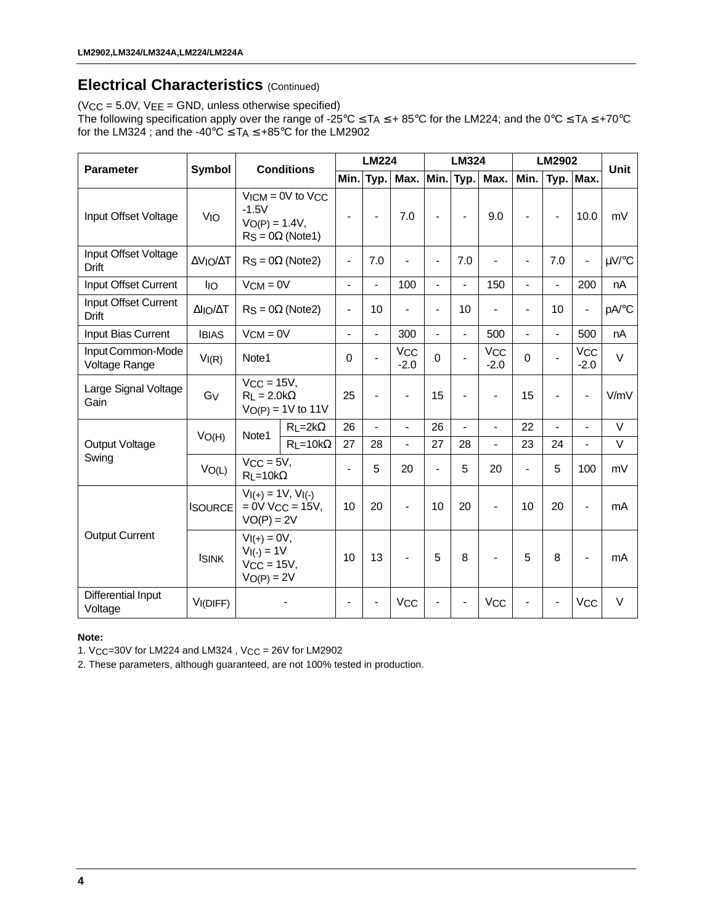# **Electrical Characteristics (Continued)**

(VCC = 5.0V, VEE = GND, unless otherwise specified) The following specification apply over the range of -25°C ≤ TA ≤ + 85°C for the LM224; and the 0°C ≤ TA ≤ +70°C for the LM324 ; and the -40°C  $\leq$  TA  $\leq$  +85°C for the LM2902

|                                      |                           | <b>Conditions</b>                                                                                                                        |                         | <b>LM224</b>             |                          |                          | <b>LM324</b>             |                          |                           | <b>LM2902</b>            |                          |                                 |        |
|--------------------------------------|---------------------------|------------------------------------------------------------------------------------------------------------------------------------------|-------------------------|--------------------------|--------------------------|--------------------------|--------------------------|--------------------------|---------------------------|--------------------------|--------------------------|---------------------------------|--------|
| <b>Parameter</b>                     | <b>Symbol</b>             |                                                                                                                                          |                         | Min.                     | Typ.                     | Max.                     |                          | Min. Typ.                | Max.                      | Min.                     |                          | Typ. Max.                       | Unit   |
| Input Offset Voltage                 | <b>V<sub>IO</sub></b>     | $V$ ICM = 0V to $V$ CC<br>$-1.5V$<br>$V_O(P) = 1.4V,$<br>$RS = 0\Omega$ (Note 1)                                                         |                         | $\blacksquare$           |                          | 7.0                      | $\overline{\phantom{0}}$ |                          | 9.0                       | $\overline{a}$           |                          | 10.0                            | mV     |
| Input Offset Voltage<br><b>Drift</b> | ΔVΙΟ/ΔΤ                   |                                                                                                                                          | $R_S = 0\Omega$ (Note2) | $\overline{\phantom{0}}$ | 7.0                      | $\overline{a}$           | $\overline{a}$           | 7.0                      |                           | $\overline{a}$           | 7.0                      | $\blacksquare$                  | µV/°C  |
| Input Offset Current                 | <b>IIO</b>                | $VCM = 0V$                                                                                                                               |                         | $\overline{a}$           | $\overline{a}$           | 100                      | $\overline{a}$           | $\blacksquare$           | 150                       | $\blacksquare$           | $\blacksquare$           | 200                             | nA     |
| Input Offset Current<br>Drift        | $\Delta I$  O/ $\Delta T$ | $RS = 0\Omega$ (Note2)                                                                                                                   |                         | $\overline{a}$           | 10                       | $\blacksquare$           | $\overline{\phantom{0}}$ | 10                       | $\overline{\phantom{0}}$  | $\blacksquare$           | 10                       | $\overline{\phantom{a}}$        | pA/°C  |
| Input Bias Current                   | <b>IBIAS</b>              | $VCM = 0V$                                                                                                                               |                         | $\frac{1}{2}$            | $\overline{a}$           | 300                      | $\overline{\phantom{a}}$ | $\blacksquare$           | 500                       | $\overline{\phantom{a}}$ | $\overline{\phantom{a}}$ | 500                             | nA     |
| Input Common-Mode<br>Voltage Range   | VI(R)                     | Note1                                                                                                                                    |                         | $\Omega$                 |                          | Vcc<br>$-2.0$            | $\mathbf 0$              |                          | V <sub>CC</sub><br>$-2.0$ | $\mathbf 0$              |                          | <b>V<sub>CC</sub></b><br>$-2.0$ | $\vee$ |
| Large Signal Voltage<br>Gain         | GV                        | $V_{CC} = 15V$ ,<br>$R_L = 2.0 k\Omega$<br>$V_{O(P)} = 1V$ to 11V                                                                        |                         | 25                       | $\overline{\phantom{a}}$ | $\overline{\phantom{a}}$ | 15                       | $\blacksquare$           | $\overline{\phantom{0}}$  | 15                       | $\overline{a}$           | $\blacksquare$                  | V/mV   |
|                                      |                           | Note1                                                                                                                                    | $R$ L=2k $\Omega$       | 26                       | $\overline{\phantom{a}}$ | $\overline{\phantom{a}}$ | 26                       | $\overline{\phantom{a}}$ | $\overline{\phantom{0}}$  | 22                       | $\frac{1}{2}$            | $\blacksquare$                  | V      |
| Output Voltage                       | VO(H)                     |                                                                                                                                          | $R_L = 10k\Omega$       | 27                       | 28                       | $\overline{\phantom{0}}$ | 27                       | 28                       | $\overline{\phantom{0}}$  | 23                       | 24                       | $\blacksquare$                  | $\vee$ |
| Swing                                | VO(L)                     | $VCC = 5V,$<br>$R_1 = 10k\Omega$                                                                                                         |                         | $\overline{\phantom{0}}$ | 5                        | 20                       | $\overline{\phantom{0}}$ | 5                        | 20                        | $\blacksquare$           | 5                        | 100                             | mV     |
|                                      | <b>ISOURCE</b>            | $VI(+) = 1V, VI(-)$<br>$= 0V$ V <sub>CC</sub> = 15V,<br>$VO(P) = 2V$<br>$VI(+) = 0V,$<br>$V_{I(-)} = 1V$<br>$VCC = 15V,$<br>$VO(P) = 2V$ |                         | 10                       | 20                       | $\blacksquare$           | 10                       | 20                       | $\blacksquare$            | 10                       | 20                       | $\blacksquare$                  | mA     |
| <b>Output Current</b>                | <b>ISINK</b>              |                                                                                                                                          |                         | 10                       | 13                       | $\overline{\phantom{0}}$ | 5                        | 8                        | $\overline{\phantom{0}}$  | 5                        | 8                        | $\blacksquare$                  | mA     |
| Differential Input<br>Voltage        | VI(DIFF)                  |                                                                                                                                          |                         | $\overline{\phantom{a}}$ |                          | <b>V<sub>CC</sub></b>    | $\overline{\phantom{0}}$ | $\overline{\phantom{a}}$ | <b>V<sub>CC</sub></b>     | $\overline{\phantom{a}}$ | $\overline{\phantom{a}}$ | <b>V<sub>CC</sub></b>           | V      |

**Note:**

1. VCC=30V for LM224 and LM324 , VCC = 26V for LM2902

2. These parameters, although guaranteed, are not 100% tested in production.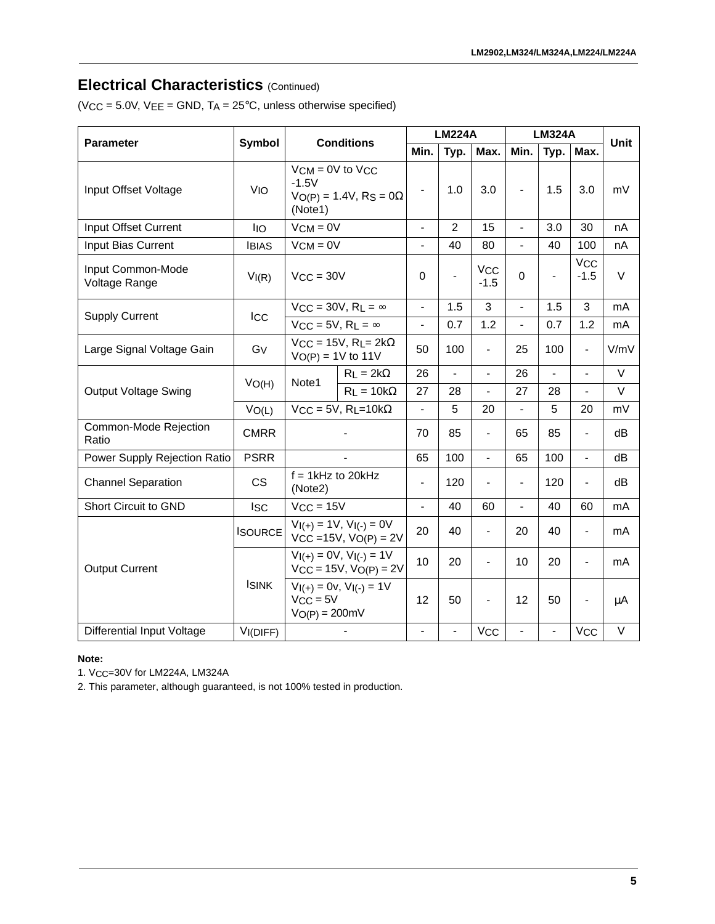### **Electrical Characteristics (Continued)**

(VCC =  $5.0V$ , VEE = GND, TA =  $25^{\circ}$ C, unless otherwise specified)

|                                    | Symbol                | <b>Conditions</b>                                                             |                                                              |                          | <b>LM224A</b>            |                          | <b>LM324A</b>            | <b>Unit</b>              |                              |         |
|------------------------------------|-----------------------|-------------------------------------------------------------------------------|--------------------------------------------------------------|--------------------------|--------------------------|--------------------------|--------------------------|--------------------------|------------------------------|---------|
| <b>Parameter</b>                   |                       |                                                                               |                                                              | Min.                     | Typ.                     | Max.                     | Min.                     | Typ.                     | Max.                         |         |
| Input Offset Voltage               | <b>V<sub>IO</sub></b> | $VCM = 0V$ to $VCC$<br>$-1.5V$<br>$VO(P) = 1.4V$ , RS = 0 $\Omega$<br>(Note1) |                                                              | $\overline{\phantom{0}}$ | 1.0                      | 3.0                      | $\overline{\phantom{a}}$ | 1.5                      | 3.0                          | mV      |
| Input Offset Current               | <b>IIO</b>            | $VCM = 0V$                                                                    |                                                              | $\overline{a}$           | $\overline{2}$           | 15                       | $\overline{a}$           | 3.0                      | 30                           | nA      |
| Input Bias Current                 | <b>IBIAS</b>          | $V$ CM = $0V$                                                                 |                                                              | $\blacksquare$           | 40                       | 80                       | $\blacksquare$           | 40                       | 100                          | nA      |
| Input Common-Mode<br>Voltage Range | VI(R)                 | $VCC = 30V$                                                                   |                                                              | 0                        | $\overline{\phantom{a}}$ | <b>VCC</b><br>$-1.5$     | $\mathbf 0$              |                          | <b>VCC</b><br>$-1.5$         | $\vee$  |
|                                    |                       |                                                                               | $V_{CC}$ = 30V, R <sub>L</sub> = $\infty$                    | $\blacksquare$           | 1.5                      | 3                        | $\blacksquare$           | 1.5                      | 3                            | mA      |
| <b>Supply Current</b>              | <b>ICC</b>            |                                                                               | $V_{CC} = 5V$ , R <sub>L</sub> = $\infty$                    |                          | 0.7                      | 1.2                      | $\overline{\phantom{a}}$ | 0.7                      | 1.2                          | mA      |
| Large Signal Voltage Gain          | G <sub>V</sub>        | $V_{CC} = 15V$ , R <sub>L</sub> = 2k $\Omega$<br>$V_O(P) = 1V$ to 11V         |                                                              | 50                       | 100                      | $\overline{\phantom{0}}$ | 25                       | 100                      | $\frac{1}{2}$                | V/mV    |
| <b>Output Voltage Swing</b>        | VO(H)                 |                                                                               | $R_L = 2k\Omega$                                             | 26                       | $\frac{1}{2}$            | $\overline{a}$           | 26                       | $\overline{a}$           | $\overline{a}$               | $\vee$  |
|                                    |                       | Note1                                                                         | $R_L = 10k\Omega$                                            | 27                       | 28                       | $\overline{a}$           | 27                       | 28                       | $\overline{a}$               | $\vee$  |
|                                    | VO(L)                 |                                                                               | $V_{CC} = 5V$ , R <sub>L</sub> =10k $\Omega$                 | $\blacksquare$           | 5                        | 20                       | $\overline{\phantom{0}}$ | 5                        | 20                           | mV      |
| Common-Mode Rejection<br>Ratio     | <b>CMRR</b>           |                                                                               |                                                              | 70                       | 85                       | $\overline{\phantom{0}}$ | 65                       | 85                       | $\overline{a}$               | dB      |
| Power Supply Rejection Ratio       | <b>PSRR</b>           |                                                                               | $\overline{a}$                                               | 65                       | 100                      | $\overline{a}$           | 65                       | 100                      | $\overline{a}$               | dB      |
| <b>Channel Separation</b>          | <b>CS</b>             | $f = 1$ kHz to 20kHz<br>(Note2)                                               |                                                              | $\blacksquare$           | 120                      |                          | $\blacksquare$           | 120                      |                              | dB      |
| Short Circuit to GND               | <b>ISC</b>            | $V_{CC} = 15V$                                                                |                                                              | $\overline{a}$           | 40                       | 60                       | $\blacksquare$           | 40                       | 60                           | mA      |
| <b>ISOURCE</b>                     |                       |                                                                               | $V_{I(+)} = 1V$ , $V_{I(-)} = 0V$<br>$VCC = 15V, VO(P) = 2V$ |                          | 40                       | $\overline{a}$           | 20                       | 40                       | $\overline{a}$               | mA      |
| <b>Output Current</b>              |                       | $V_{I(+)} = 0V$ , $V_{I(-)} = 1V$<br>$VCC = 15V, VO(P) = 2V$                  |                                                              | 10                       | 20                       | $\overline{a}$           | 10                       | 20                       | $\qquad \qquad \blacksquare$ | mA      |
|                                    | <b>ISINK</b>          | $VCC = 5V$<br>$V_O(P) = 200mV$                                                | $V_{I(+)} = 0v, V_{I(-)} = 1V$                               | 12                       | 50                       | $\overline{a}$           | 12                       | 50                       | $\overline{a}$               | $\mu$ A |
| <b>Differential Input Voltage</b>  | VI(DIFF)              |                                                                               |                                                              | $\overline{\phantom{0}}$ | $\overline{\phantom{a}}$ | <b>VCC</b>               | $\overline{\phantom{0}}$ | $\overline{\phantom{a}}$ | <b>V<sub>CC</sub></b>        | $\vee$  |

#### **Note:**

1. VCC=30V for LM224A, LM324A

2. This parameter, although guaranteed, is not 100% tested in production.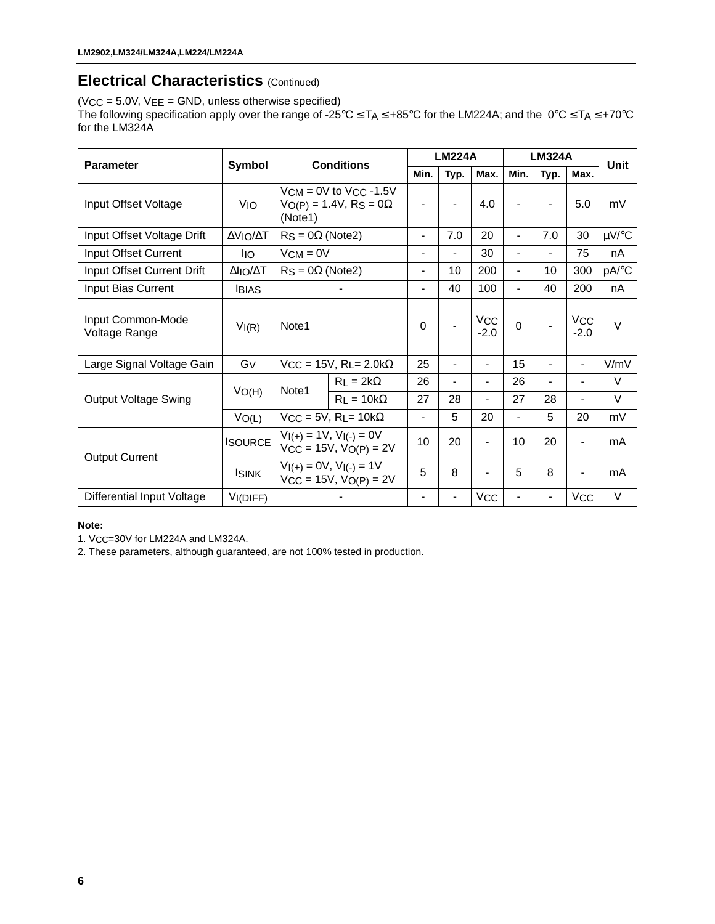# **Electrical Characteristics (Continued)**

(VCC = 5.0V, VEE = GND, unless otherwise specified) The following specification apply over the range of -25°C ≤ TA ≤ +85°C for the LM224A; and the 0°C ≤ TA ≤ +70°C for the LM324A

| <b>Parameter</b>                   | Symbol         |                                                                            | <b>Conditions</b>                             |                          | <b>LM224A</b>            |                          | <b>LM324A</b>            | <b>Unit</b>    |                              |            |
|------------------------------------|----------------|----------------------------------------------------------------------------|-----------------------------------------------|--------------------------|--------------------------|--------------------------|--------------------------|----------------|------------------------------|------------|
|                                    |                |                                                                            |                                               |                          | Typ.                     | Max.                     | Min.                     | Typ.           | Max.                         |            |
| Input Offset Voltage               | <b>VIO</b>     | $V$ CM = 0V to $V$ CC -1.5V<br>$VO(P) = 1.4V$ , RS = 0 $\Omega$<br>(Note1) |                                               | $\blacksquare$           | 4.0                      | $\blacksquare$           |                          | 5.0            | mV                           |            |
| Input Offset Voltage Drift         | ΔVΙΟ/ΔΤ        | $\text{RS} = 0\Omega$ (Note2)                                              |                                               | $\blacksquare$           | 7.0                      | 20                       | $\blacksquare$           | 7.0            | 30                           | $\mu$ V/°C |
| Input Offset Current               | <b>IIO</b>     | $VCM = 0V$                                                                 |                                               | $\overline{\phantom{0}}$ | -                        | 30                       | $\overline{\phantom{0}}$ |                | 75                           | nA         |
| Input Offset Current Drift         | ΔΙΙΟ/ΔΤ        | $RS = 0\Omega$ (Note2)                                                     |                                               | Ξ.                       | 10                       | 200                      | $\blacksquare$           | 10             | 300                          | pA/°C      |
| Input Bias Current                 | <b>IBIAS</b>   |                                                                            | $\blacksquare$                                | 40                       | 100                      | $\blacksquare$           | 40                       | 200            | nA                           |            |
| Input Common-Mode<br>Voltage Range | VI(R)          | Note1                                                                      |                                               | 0                        |                          | VCC<br>$-2.0$            | $\Omega$                 |                | <b>VCC</b><br>$-2.0$         | $\vee$     |
| Large Signal Voltage Gain          | Gy             |                                                                            | $VCC = 15V$ , RL= 2.0k $\Omega$               | 25                       | -                        | $\overline{\phantom{0}}$ | 15                       |                | $\overline{\phantom{a}}$     | V/mV       |
|                                    |                | Note1                                                                      | $R_L = 2k\Omega$                              | 26                       | $\overline{\phantom{0}}$ | $\blacksquare$           | 26                       | $\blacksquare$ | $\qquad \qquad \blacksquare$ | V          |
| <b>Output Voltage Swing</b>        | VO(H)          |                                                                            | $R_L = 10k\Omega$                             | 27                       | 28                       | $\blacksquare$           | 27                       | 28             | $\overline{\phantom{0}}$     | V          |
|                                    | VO(L)          |                                                                            | $V_{CC} = 5V$ , R <sub>L</sub> = 10k $\Omega$ | $\overline{\phantom{0}}$ | 5                        | 20                       | $\blacksquare$           | 5              | 20                           | mV         |
| <b>Output Current</b>              | <b>ISOURCE</b> | $VI(+) = 1V$ , $VI(-) = 0V$<br>$V_{CC} = 15V$ , $V_{O(P)} = 2V$            |                                               | 10                       | 20                       |                          | 10                       | 20             | $\overline{\phantom{a}}$     | mA         |
|                                    | <b>ISINK</b>   | $VI(+) = 0V$ , $VI(-) = 1V$<br>$V_{CC} = 15V$ , $V_{O(P)} = 2V$            |                                               | 5                        | 8                        |                          | 5                        | 8              | $\overline{\phantom{a}}$     | mA         |
| <b>Differential Input Voltage</b>  | VI(DIFF)       |                                                                            |                                               | $\overline{\phantom{0}}$ | $\blacksquare$           | <b>VCC</b>               |                          |                | <b>VCC</b>                   | V          |

#### **Note:**

1. VCC=30V for LM224A and LM324A.

2. These parameters, although guaranteed, are not 100% tested in production.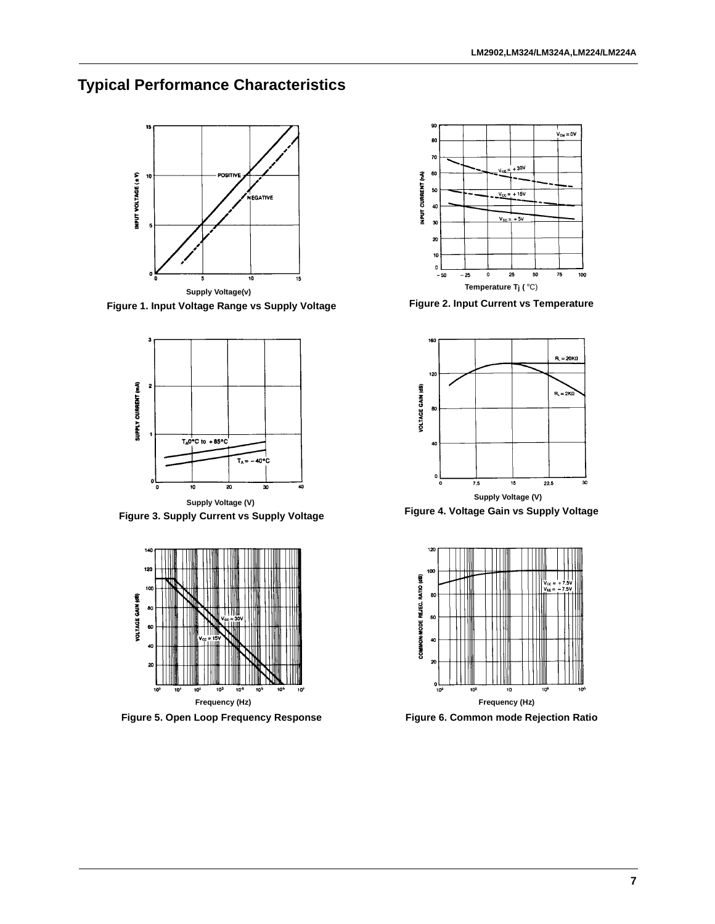# **Typical Performance Characteristics**



**Figure 1. Input Voltage Range vs Supply Voltage Figure 2. Input Current vs Temperature**



**Figure 3. Supply Current vs Supply Voltage Figure 4. Voltage Gain vs Supply Voltage**



**Figure 5. Open Loop Frequency Response Figure 6. Common mode Rejection Ratio**





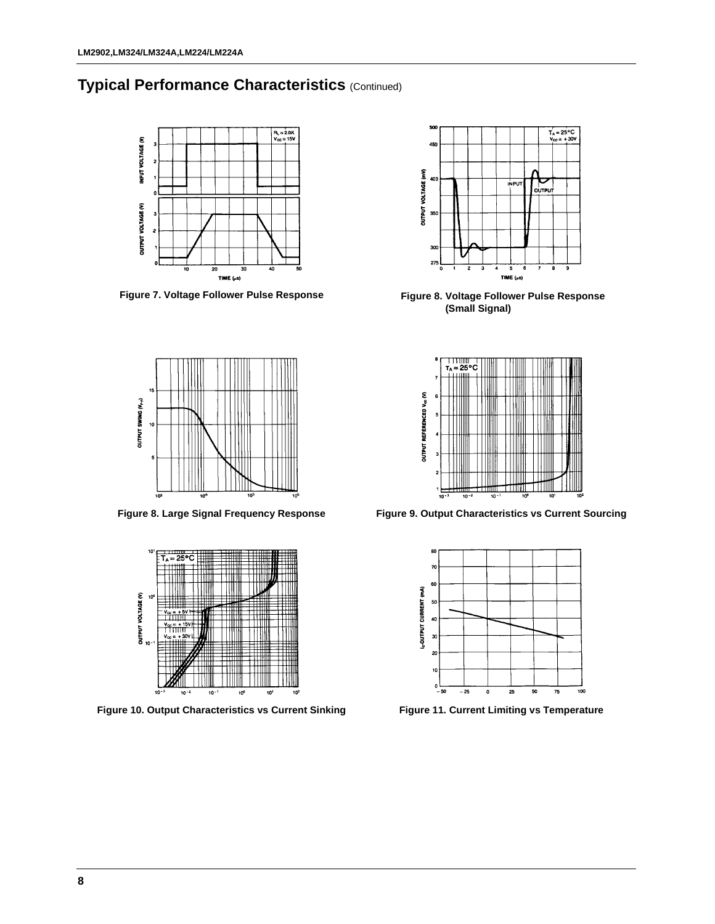### **Typical Performance Characteristics** (Continued)



**Figure 7. Voltage Follower Pulse Response**





Figure 10. Output Characteristics vs Current Sinking Figure 11. Current Limiting vs Temperature



**Figure 8. Voltage Follower Pulse Response (Small Signal)**



**Figure 8. Large Signal Frequency Response Figure 9. Output Characteristics vs Current Sourcing**

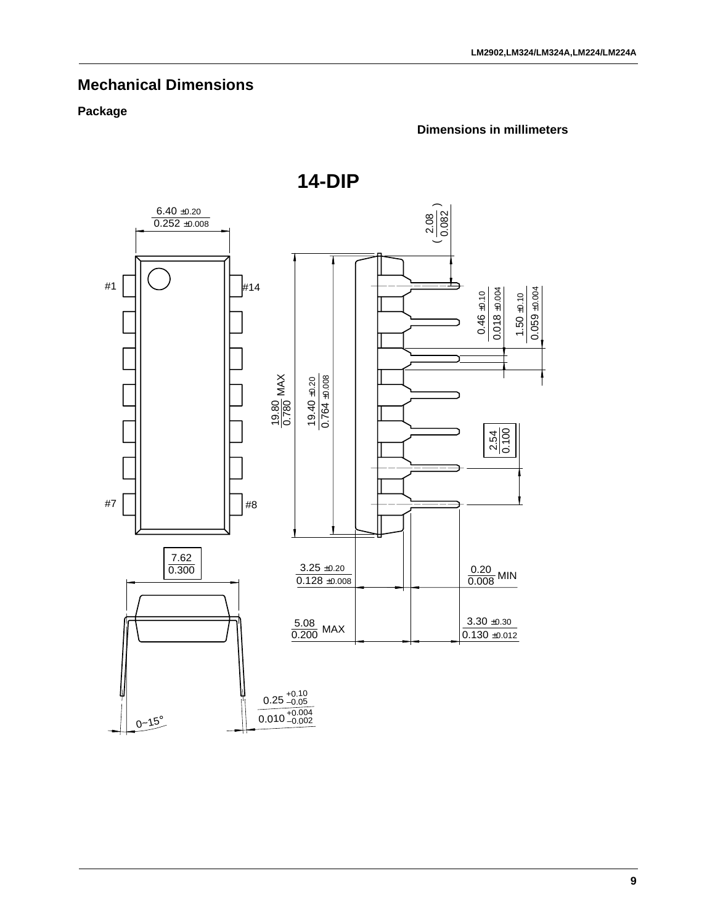# **Mechanical Dimensions**

### **Package**

# $6.40 \pm 0.20$  $\left(\frac{8}{100}\right)$  $0.252 \pm 0.008$ #1 #14  $\frac{0.46 \pm 0.10}{0.018 \pm 0.004}$  $0.059 + 0.004$  $0.018 + 0.004$ 0.059 ±0.004  $1.50 + 0.10$  $0.46 + 0.10$  $1.50 \pm 0.10$  $\frac{19.40 + 0.20}{0.764 + 0.008}$ 19.80 0.780 MAX  $\frac{2.54}{0.100}$ #7 | || || |#8 7.62  $\frac{3.25 \pm 0.20}{0.128 \pm 0.008}$ 0.20 0.300  $\frac{0.20}{0.008}$  MIN  $3.30 \pm 0.30$ 5.08  $\frac{3.00}{0.200}$  MAX  $0.130 + 0.012$  $0.25_{-0.05}^{+0.10}$  $0-15^{\circ}$  0.25  $+0.10$ <br>0.010  $+0.004$ <br>0.010  $-0.002$

**14-DIP**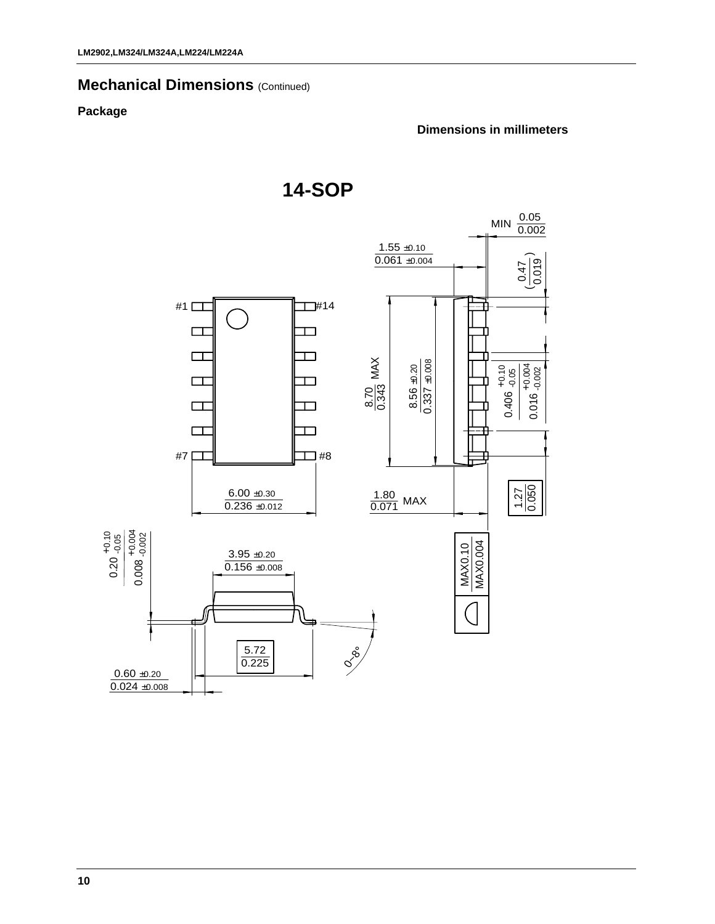### **Mechanical Dimensions (Continued)**

### **Package**

#### **Dimensions in millimeters**

**14-SOP**

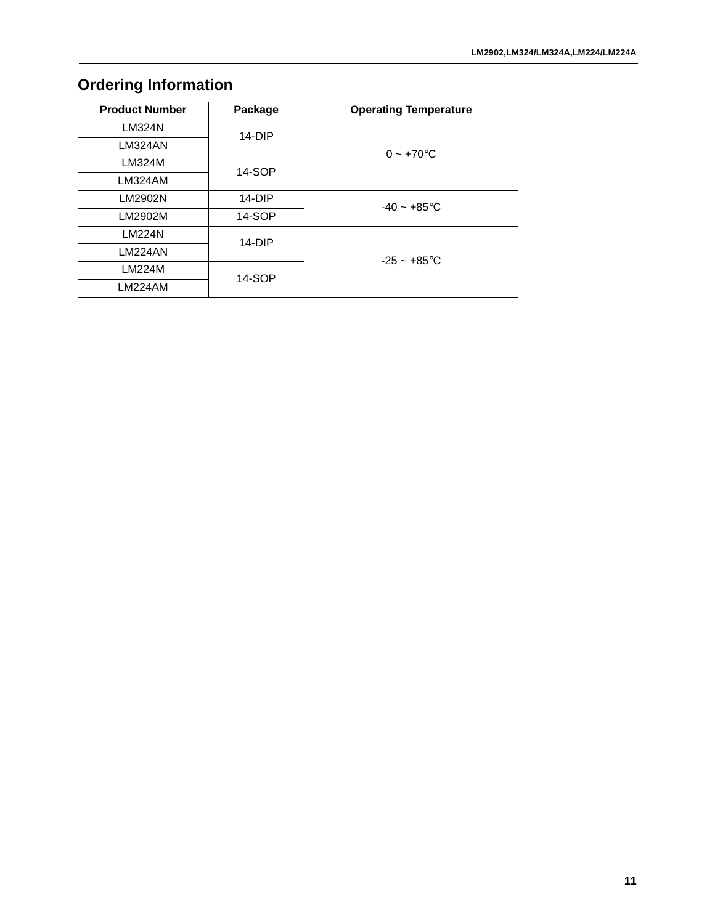# **Ordering Information**

| <b>Product Number</b> | Package  | <b>Operating Temperature</b> |
|-----------------------|----------|------------------------------|
| <b>LM324N</b>         | $14-DIP$ |                              |
| LM324AN               |          | $0 - +70$ °C                 |
| LM324M                | 14-SOP   |                              |
| LM324AM               |          |                              |
| LM2902N               | $14-DIP$ | $-40 - +85$ °C               |
| LM2902M               | 14-SOP   |                              |
| <b>LM224N</b>         | $14-DIP$ |                              |
| <b>LM224AN</b>        |          | $-25 - +85$ °C               |
| <b>LM224M</b>         | 14-SOP   |                              |
| <b>LM224AM</b>        |          |                              |